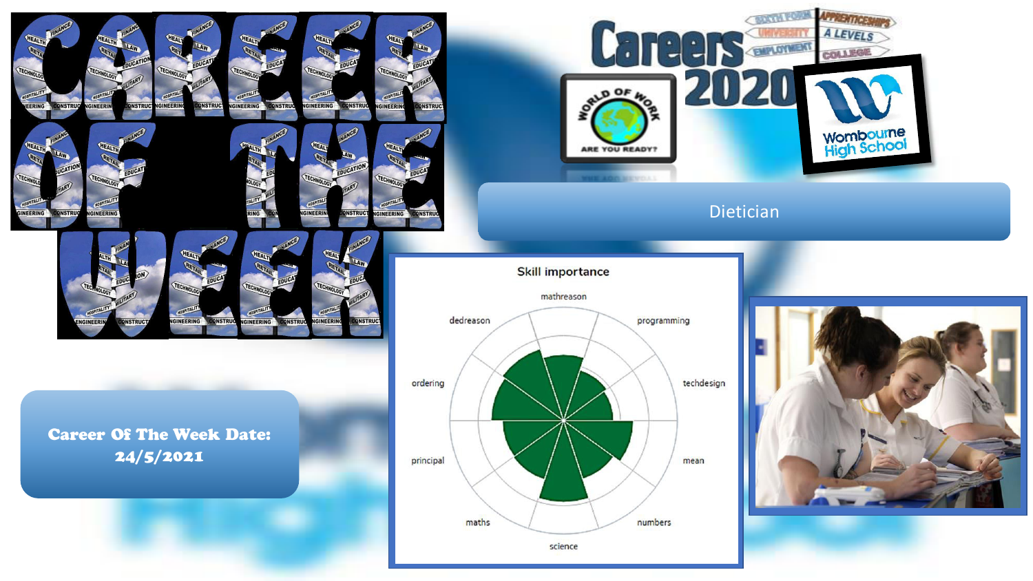

**IGINEERING** 

**ONSTRUC** 

GINEERII

**INSTRU** 

Career Of The Week Date: 24/5/2021

GINEERING

**ONSTRUC** 

**GINEER** 





**CERTIFICATE** 

**DIPLOYMENT** 

 $\blacksquare$ 

 $\mathbf{A}^{\mathbf{U}}$ 

 $00F$ 

**AFRICATION A LEVELS** 

COLLEGE

**Wombourne**<br>High School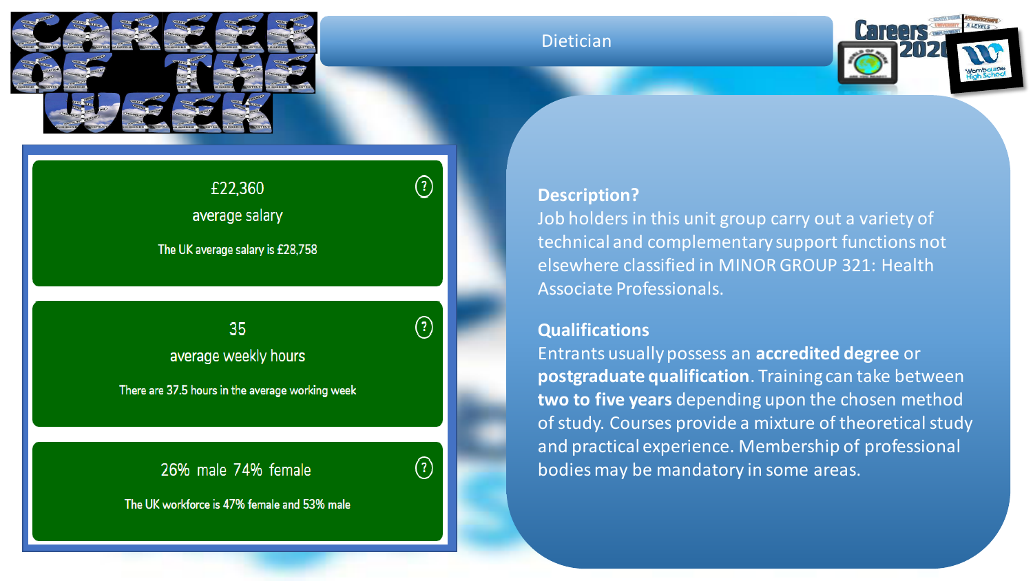

#### Dietician



# £22,360

average salary

The UK average salary is £28,758

Insert avert avant av $\sigma$  salary, weekly hours and male $\sigma$ average weekly hours

There are 37.5 hours in the average working week

## 26% male 74% female



 $\odot$ 

The UK workforce is 47% female and 53% male

#### **Description?**

Job holders in this unit group carry out a variety of technical and complementary support functions not elsewhere classified in MINOR GROUP 321: Health Associate Professionals.

### **Qualifications**

Entrants usually possess an **accredited degree** or **postgraduate qualification**. Training can take between **two to five years** depending upon the chosen method of study. Courses provide a mixture of theoretical study and practical experience. Membership of professional bodies may be mandatory in some areas.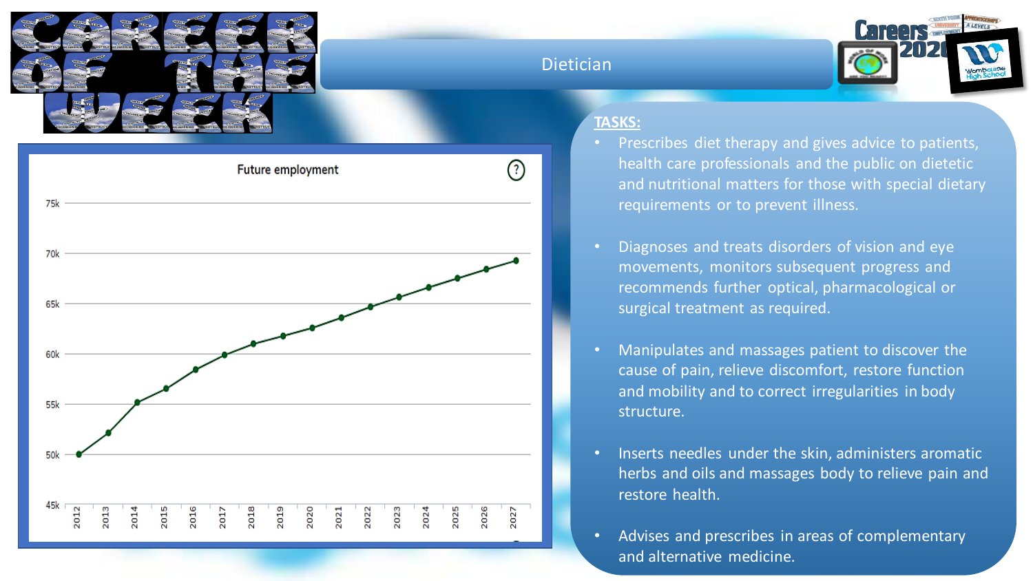





#### **TASKS:**

- Prescribes diet therapy and gives advice to patients, health care professionals and the public on dietetic and nutritional matters for those with special dietary requirements or to prevent illness.
	- Diagnoses and treats disorders of vision and eye movements, monitors subsequent progress and recommends further optical, pharmacological or surgical treatment as required.
	- Manipulates and massages patient to discover the cause of pain, relieve discomfort, restore function and mobility and to correct irregularities in body structure.
- Inserts needles under the skin, administers aromatic herbs and oils and massages body to relieve pain and restore health.
- Advises and prescribes in areas of complementary and alternative medicine.